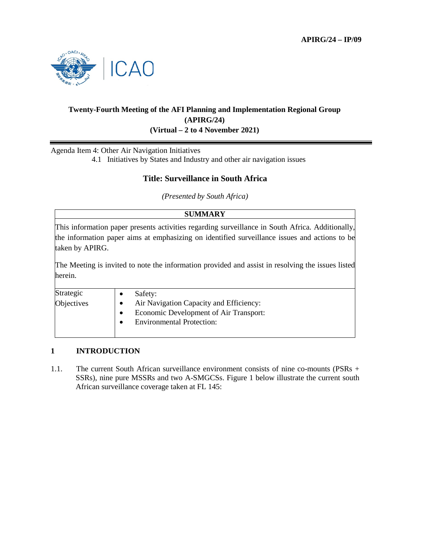

# **Twenty-Fourth Meeting of the AFI Planning and Implementation Regional Group (APIRG/24) (Virtual – 2 to 4 November 2021)**

Agenda Item 4: Other Air Navigation Initiatives

4.1 Initiatives by States and Industry and other air navigation issues

# **Title: Surveillance in South Africa**

*(Presented by South Africa)* 

# **SUMMARY**

This information paper presents activities regarding surveillance in South Africa. Additionally, the information paper aims at emphasizing on identified surveillance issues and actions to be taken by APIRG.

The Meeting is invited to note the information provided and assist in resolving the issues listed herein.

| Strategic  | Safety:                                 |
|------------|-----------------------------------------|
| Objectives | Air Navigation Capacity and Efficiency: |
|            | Economic Development of Air Transport:  |
|            | <b>Environmental Protection:</b>        |
|            |                                         |

# **1 INTRODUCTION**

1.1. The current South African surveillance environment consists of nine co-mounts (PSRs + SSRs), nine pure MSSRs and two A-SMGCSs. Figure 1 below illustrate the current south African surveillance coverage taken at FL 145: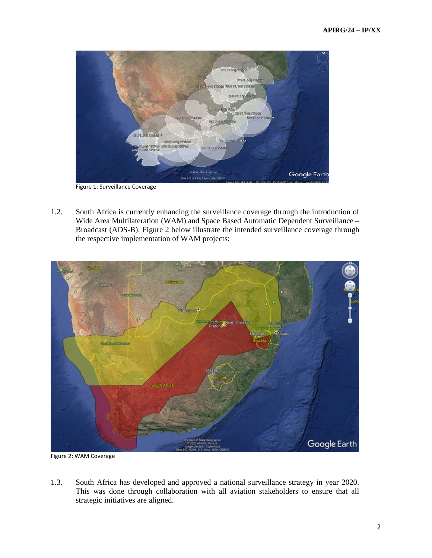

Figure 1: Surveillance Coverage

1.2. South Africa is currently enhancing the surveillance coverage through the introduction of Wide Area Multilateration (WAM) and Space Based Automatic Dependent Surveillance – Broadcast (ADS-B). Figure 2 below illustrate the intended surveillance coverage through the respective implementation of WAM projects:



Figure 2: WAM Coverage

1.3. South Africa has developed and approved a national surveillance strategy in year 2020. This was done through collaboration with all aviation stakeholders to ensure that all strategic initiatives are aligned.